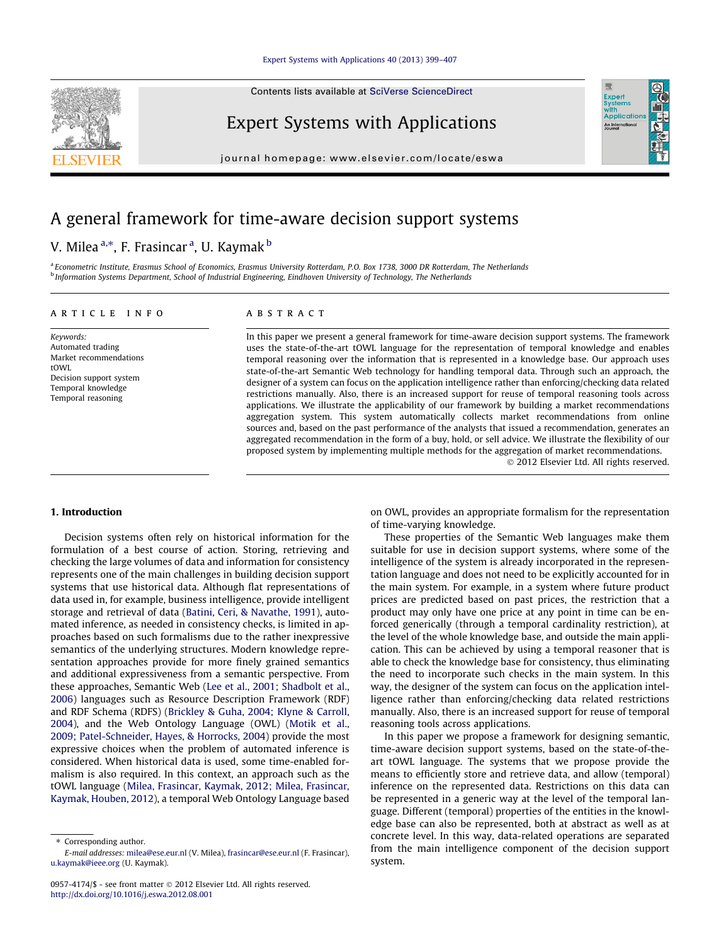## [Expert Systems with Applications 40 \(2013\) 399–407](http://dx.doi.org/10.1016/j.eswa.2012.08.001)

Contents lists available at [SciVerse ScienceDirect](http://www.sciencedirect.com/science/journal/09574174)

Expert Systems with Applications

journal homepage: [www.elsevier.com/locate/eswa](http://www.elsevier.com/locate/eswa)

## A general framework for time-aware decision support systems

## V. Milea <sup>a,</sup>\*, F. Frasincar <sup>a</sup>, U. Kaymak <sup>b</sup>

a Econometric Institute, Erasmus School of Economics, Erasmus University Rotterdam, P.O. Box 1738, 3000 DR Rotterdam, The Netherlands <sup>b</sup> Information Systems Department, School of Industrial Engineering, Eindhoven University of Technology, The Netherlands

## article info

Keywords: Automated trading Market recommendations tOWI Decision support system Temporal knowledge Temporal reasoning

## **ABSTRACT**

In this paper we present a general framework for time-aware decision support systems. The framework uses the state-of-the-art tOWL language for the representation of temporal knowledge and enables temporal reasoning over the information that is represented in a knowledge base. Our approach uses state-of-the-art Semantic Web technology for handling temporal data. Through such an approach, the designer of a system can focus on the application intelligence rather than enforcing/checking data related restrictions manually. Also, there is an increased support for reuse of temporal reasoning tools across applications. We illustrate the applicability of our framework by building a market recommendations aggregation system. This system automatically collects market recommendations from online sources and, based on the past performance of the analysts that issued a recommendation, generates an aggregated recommendation in the form of a buy, hold, or sell advice. We illustrate the flexibility of our proposed system by implementing multiple methods for the aggregation of market recommendations. - 2012 Elsevier Ltd. All rights reserved.

### 1. Introduction

Decision systems often rely on historical information for the formulation of a best course of action. Storing, retrieving and checking the large volumes of data and information for consistency represents one of the main challenges in building decision support systems that use historical data. Although flat representations of data used in, for example, business intelligence, provide intelligent storage and retrieval of data [\(Batini, Ceri, & Navathe, 1991\)](#page--1-0), automated inference, as needed in consistency checks, is limited in approaches based on such formalisms due to the rather inexpressive semantics of the underlying structures. Modern knowledge representation approaches provide for more finely grained semantics and additional expressiveness from a semantic perspective. From these approaches, Semantic Web ([Lee et al., 2001; Shadbolt et al.,](#page--1-0) [2006](#page--1-0)) languages such as Resource Description Framework (RDF) and RDF Schema (RDFS) [\(Brickley & Guha, 2004; Klyne & Carroll,](#page--1-0) [2004](#page--1-0)), and the Web Ontology Language (OWL) [\(Motik et al.,](#page--1-0) [2009; Patel-Schneider, Hayes, & Horrocks, 2004](#page--1-0)) provide the most expressive choices when the problem of automated inference is considered. When historical data is used, some time-enabled formalism is also required. In this context, an approach such as the tOWL language ([Milea, Frasincar, Kaymak, 2012; Milea, Frasincar,](#page--1-0) [Kaymak, Houben, 2012](#page--1-0)), a temporal Web Ontology Language based

on OWL, provides an appropriate formalism for the representation of time-varying knowledge.

Expert<br>Syster Applicatio An Interna

These properties of the Semantic Web languages make them suitable for use in decision support systems, where some of the intelligence of the system is already incorporated in the representation language and does not need to be explicitly accounted for in the main system. For example, in a system where future product prices are predicted based on past prices, the restriction that a product may only have one price at any point in time can be enforced generically (through a temporal cardinality restriction), at the level of the whole knowledge base, and outside the main application. This can be achieved by using a temporal reasoner that is able to check the knowledge base for consistency, thus eliminating the need to incorporate such checks in the main system. In this way, the designer of the system can focus on the application intelligence rather than enforcing/checking data related restrictions manually. Also, there is an increased support for reuse of temporal reasoning tools across applications.

In this paper we propose a framework for designing semantic, time-aware decision support systems, based on the state-of-theart tOWL language. The systems that we propose provide the means to efficiently store and retrieve data, and allow (temporal) inference on the represented data. Restrictions on this data can be represented in a generic way at the level of the temporal language. Different (temporal) properties of the entities in the knowledge base can also be represented, both at abstract as well as at concrete level. In this way, data-related operations are separated from the main intelligence component of the decision support system.



<sup>⇑</sup> Corresponding author.

E-mail addresses: [milea@ese.eur.nl](mailto:milea@ese.eur.nl) (V. Milea), [frasincar@ese.eur.nl](mailto:frasincar@ese.eur.nl) (F. Frasincar), [u.kaymak@ieee.org](mailto:u.kaymak@ieee.org) (U. Kaymak).

<sup>0957-4174/\$ -</sup> see front matter © 2012 Elsevier Ltd. All rights reserved. <http://dx.doi.org/10.1016/j.eswa.2012.08.001>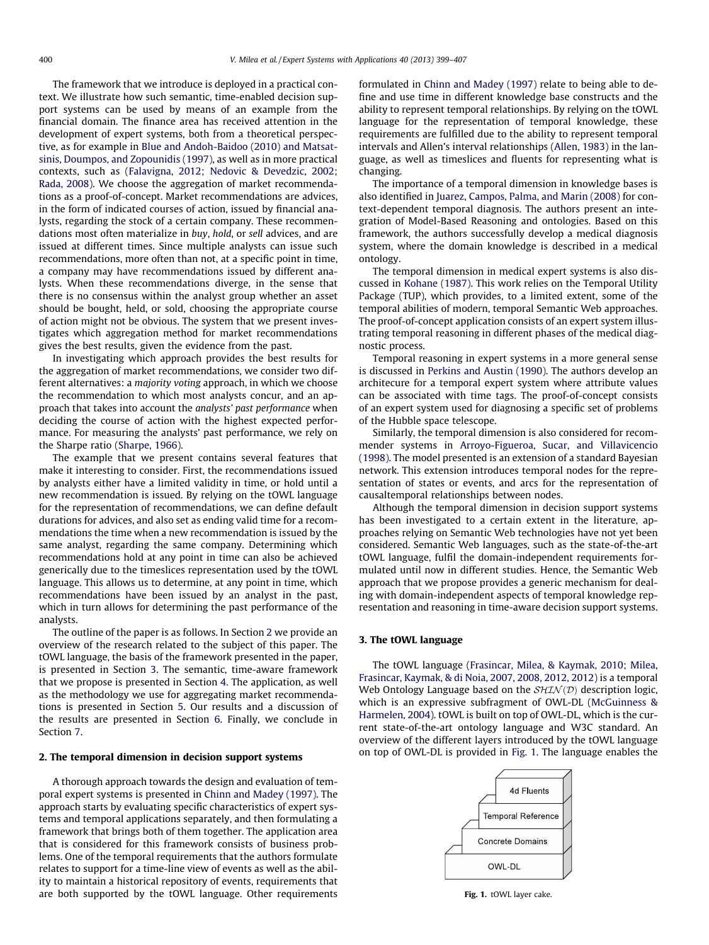The framework that we introduce is deployed in a practical context. We illustrate how such semantic, time-enabled decision support systems can be used by means of an example from the financial domain. The finance area has received attention in the development of expert systems, both from a theoretical perspective, as for example in [Blue and Andoh-Baidoo \(2010\) and Matsat](#page--1-0)[sinis, Doumpos, and Zopounidis \(1997\),](#page--1-0) as well as in more practical contexts, such as [\(Falavigna, 2012; Nedovic & Devedzic, 2002;](#page--1-0) [Rada, 2008\)](#page--1-0). We choose the aggregation of market recommendations as a proof-of-concept. Market recommendations are advices, in the form of indicated courses of action, issued by financial analysts, regarding the stock of a certain company. These recommendations most often materialize in buy, hold, or sell advices, and are issued at different times. Since multiple analysts can issue such recommendations, more often than not, at a specific point in time, a company may have recommendations issued by different analysts. When these recommendations diverge, in the sense that there is no consensus within the analyst group whether an asset should be bought, held, or sold, choosing the appropriate course of action might not be obvious. The system that we present investigates which aggregation method for market recommendations gives the best results, given the evidence from the past.

In investigating which approach provides the best results for the aggregation of market recommendations, we consider two different alternatives: a majority voting approach, in which we choose the recommendation to which most analysts concur, and an approach that takes into account the analysts' past performance when deciding the course of action with the highest expected performance. For measuring the analysts' past performance, we rely on the Sharpe ratio ([Sharpe, 1966\)](#page--1-0).

The example that we present contains several features that make it interesting to consider. First, the recommendations issued by analysts either have a limited validity in time, or hold until a new recommendation is issued. By relying on the tOWL language for the representation of recommendations, we can define default durations for advices, and also set as ending valid time for a recommendations the time when a new recommendation is issued by the same analyst, regarding the same company. Determining which recommendations hold at any point in time can also be achieved generically due to the timeslices representation used by the tOWL language. This allows us to determine, at any point in time, which recommendations have been issued by an analyst in the past, which in turn allows for determining the past performance of the analysts.

The outline of the paper is as follows. In Section 2 we provide an overview of the research related to the subject of this paper. The tOWL language, the basis of the framework presented in the paper, is presented in Section 3. The semantic, time-aware framework that we propose is presented in Section [4.](#page--1-0) The application, as well as the methodology we use for aggregating market recommendations is presented in Section [5](#page--1-0). Our results and a discussion of the results are presented in Section [6.](#page--1-0) Finally, we conclude in Section [7.](#page--1-0)

### 2. The temporal dimension in decision support systems

A thorough approach towards the design and evaluation of temporal expert systems is presented in [Chinn and Madey \(1997\).](#page--1-0) The approach starts by evaluating specific characteristics of expert systems and temporal applications separately, and then formulating a framework that brings both of them together. The application area that is considered for this framework consists of business problems. One of the temporal requirements that the authors formulate relates to support for a time-line view of events as well as the ability to maintain a historical repository of events, requirements that are both supported by the tOWL language. Other requirements formulated in [Chinn and Madey \(1997\)](#page--1-0) relate to being able to define and use time in different knowledge base constructs and the ability to represent temporal relationships. By relying on the tOWL language for the representation of temporal knowledge, these requirements are fulfilled due to the ability to represent temporal intervals and Allen's interval relationships ([Allen, 1983](#page--1-0)) in the language, as well as timeslices and fluents for representing what is changing.

The importance of a temporal dimension in knowledge bases is also identified in [Juarez, Campos, Palma, and Marin \(2008\)](#page--1-0) for context-dependent temporal diagnosis. The authors present an integration of Model-Based Reasoning and ontologies. Based on this framework, the authors successfully develop a medical diagnosis system, where the domain knowledge is described in a medical ontology.

The temporal dimension in medical expert systems is also discussed in [Kohane \(1987\).](#page--1-0) This work relies on the Temporal Utility Package (TUP), which provides, to a limited extent, some of the temporal abilities of modern, temporal Semantic Web approaches. The proof-of-concept application consists of an expert system illustrating temporal reasoning in different phases of the medical diagnostic process.

Temporal reasoning in expert systems in a more general sense is discussed in [Perkins and Austin \(1990\).](#page--1-0) The authors develop an architecure for a temporal expert system where attribute values can be associated with time tags. The proof-of-concept consists of an expert system used for diagnosing a specific set of problems of the Hubble space telescope.

Similarly, the temporal dimension is also considered for recommender systems in [Arroyo-Figueroa, Sucar, and Villavicencio](#page--1-0) [\(1998\).](#page--1-0) The model presented is an extension of a standard Bayesian network. This extension introduces temporal nodes for the representation of states or events, and arcs for the representation of causaltemporal relationships between nodes.

Although the temporal dimension in decision support systems has been investigated to a certain extent in the literature, approaches relying on Semantic Web technologies have not yet been considered. Semantic Web languages, such as the state-of-the-art tOWL language, fulfil the domain-independent requirements formulated until now in different studies. Hence, the Semantic Web approach that we propose provides a generic mechanism for dealing with domain-independent aspects of temporal knowledge representation and reasoning in time-aware decision support systems.

### 3. The tOWL language

The tOWL language [\(Frasincar, Milea, & Kaymak, 2010; Milea,](#page--1-0) [Frasincar, Kaymak, & di Noia, 2007, 2008, 2012, 2012](#page--1-0)) is a temporal Web Ontology Language based on the  $SHIN(D)$  description logic, which is an expressive subfragment of OWL-DL ([McGuinness &](#page--1-0) [Harmelen, 2004\)](#page--1-0). tOWL is built on top of OWL-DL, which is the current state-of-the-art ontology language and W3C standard. An overview of the different layers introduced by the tOWL language on top of OWL-DL is provided in Fig. 1. The language enables the



Fig. 1. tOWL layer cake.